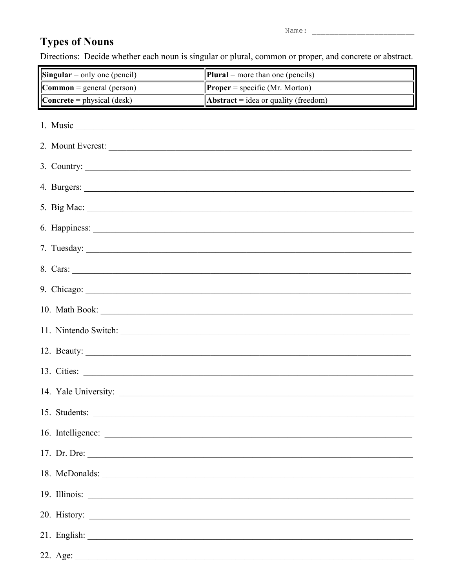## **Types of Nouns**

Directions: Decide whether each noun is singular or plural, common or proper, and concrete or abstract.

| Singular = only one (pencil)                                                                                  | <b>Plural</b> = more than one (pencils)                                                                                                                                                                                                                                   |
|---------------------------------------------------------------------------------------------------------------|---------------------------------------------------------------------------------------------------------------------------------------------------------------------------------------------------------------------------------------------------------------------------|
| <b>Common</b> = general (person)                                                                              | <b>Proper</b> = specific (Mr. Morton)                                                                                                                                                                                                                                     |
| <b>Concrete</b> = physical (desk)                                                                             | Abstract = idea or quality (freedom)                                                                                                                                                                                                                                      |
| 1. Music $\overline{\qquad \qquad }$                                                                          |                                                                                                                                                                                                                                                                           |
|                                                                                                               | 2. Mount Everest:                                                                                                                                                                                                                                                         |
|                                                                                                               |                                                                                                                                                                                                                                                                           |
| 3. Country: $\qquad \qquad$                                                                                   |                                                                                                                                                                                                                                                                           |
|                                                                                                               | 5. Big Mac: $\overline{\phantom{a}}$                                                                                                                                                                                                                                      |
|                                                                                                               |                                                                                                                                                                                                                                                                           |
|                                                                                                               |                                                                                                                                                                                                                                                                           |
|                                                                                                               |                                                                                                                                                                                                                                                                           |
|                                                                                                               |                                                                                                                                                                                                                                                                           |
| 10. Math Book: 2008. 2008. 2009. 2010. 2010. 2010. 2010. 2010. 2010. 2010. 2010. 2010. 2010. 2010. 2010. 2010 |                                                                                                                                                                                                                                                                           |
|                                                                                                               | 11. Nintendo Switch:                                                                                                                                                                                                                                                      |
|                                                                                                               |                                                                                                                                                                                                                                                                           |
|                                                                                                               |                                                                                                                                                                                                                                                                           |
|                                                                                                               |                                                                                                                                                                                                                                                                           |
| 15. Students:                                                                                                 |                                                                                                                                                                                                                                                                           |
|                                                                                                               | 16. Intelligence:                                                                                                                                                                                                                                                         |
|                                                                                                               | 17. Dr. Dre: $\frac{1}{2}$ Dr. Dre: $\frac{1}{2}$ Dr. Dre: $\frac{1}{2}$ Dr. Dre: $\frac{1}{2}$ Dr. Dre: $\frac{1}{2}$ Dr. Dre: $\frac{1}{2}$ Dr. Dre: $\frac{1}{2}$ Dr. Dre: $\frac{1}{2}$ Dr. Dre: $\frac{1}{2}$ Dr. Dre: $\frac{1}{2}$ Dr. Dre: $\frac{1}{2}$ Dr. Dre: |
|                                                                                                               | 18. McDonalds:                                                                                                                                                                                                                                                            |
|                                                                                                               |                                                                                                                                                                                                                                                                           |
|                                                                                                               |                                                                                                                                                                                                                                                                           |
|                                                                                                               |                                                                                                                                                                                                                                                                           |
|                                                                                                               |                                                                                                                                                                                                                                                                           |